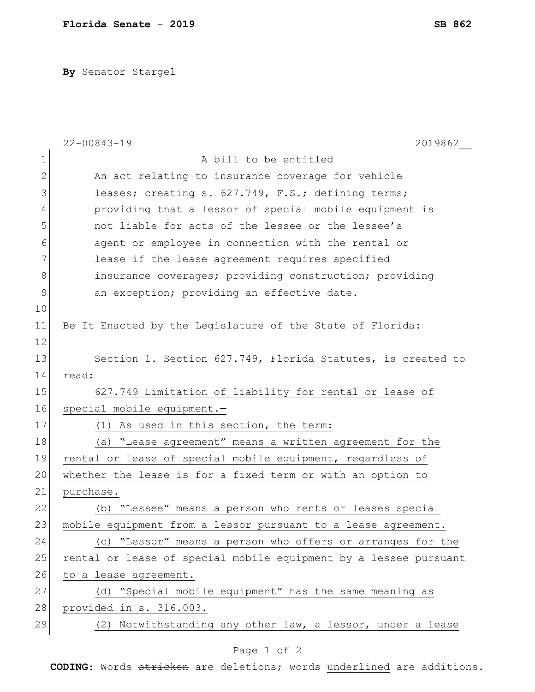**By** Senator Stargel

|              | $22 - 00843 - 19$<br>2019862                                     |
|--------------|------------------------------------------------------------------|
| 1            | A bill to be entitled                                            |
| $\mathbf{2}$ | An act relating to insurance coverage for vehicle                |
| 3            | leases; creating s. 627.749, F.S.; defining terms;               |
| 4            | providing that a lessor of special mobile equipment is           |
| 5            | not liable for acts of the lessee or the lessee's                |
| 6            | agent or employee in connection with the rental or               |
| 7            | lease if the lease agreement requires specified                  |
| 8            | insurance coverages; providing construction; providing           |
| 9            | an exception; providing an effective date.                       |
| 10           |                                                                  |
| 11           | Be It Enacted by the Legislature of the State of Florida:        |
| 12           |                                                                  |
| 13           | Section 1. Section 627.749, Florida Statutes, is created to      |
| 14           | read:                                                            |
| 15           | 627.749 Limitation of liability for rental or lease of           |
| 16           | special mobile equipment.-                                       |
| 17           | (1) As used in this section, the term:                           |
| 18           | (a) "Lease agreement" means a written agreement for the          |
| 19           | rental or lease of special mobile equipment, regardless of       |
| 20           | whether the lease is for a fixed term or with an option to       |
| 21           | purchase.                                                        |
| 22           | (b) "Lessee" means a person who rents or leases special          |
| 23           | mobile equipment from a lessor pursuant to a lease agreement.    |
| 24           | (c) "Lessor" means a person who offers or arranges for the       |
| 25           | rental or lease of special mobile equipment by a lessee pursuant |
| 26           | to a lease agreement.                                            |
| 27           | (d) "Special mobile equipment" has the same meaning as           |
| 28           | provided in s. 316.003.                                          |
| 29           | (2) Notwithstanding any other law, a lessor, under a lease       |
|              |                                                                  |

## Page 1 of 2

**CODING**: Words stricken are deletions; words underlined are additions.